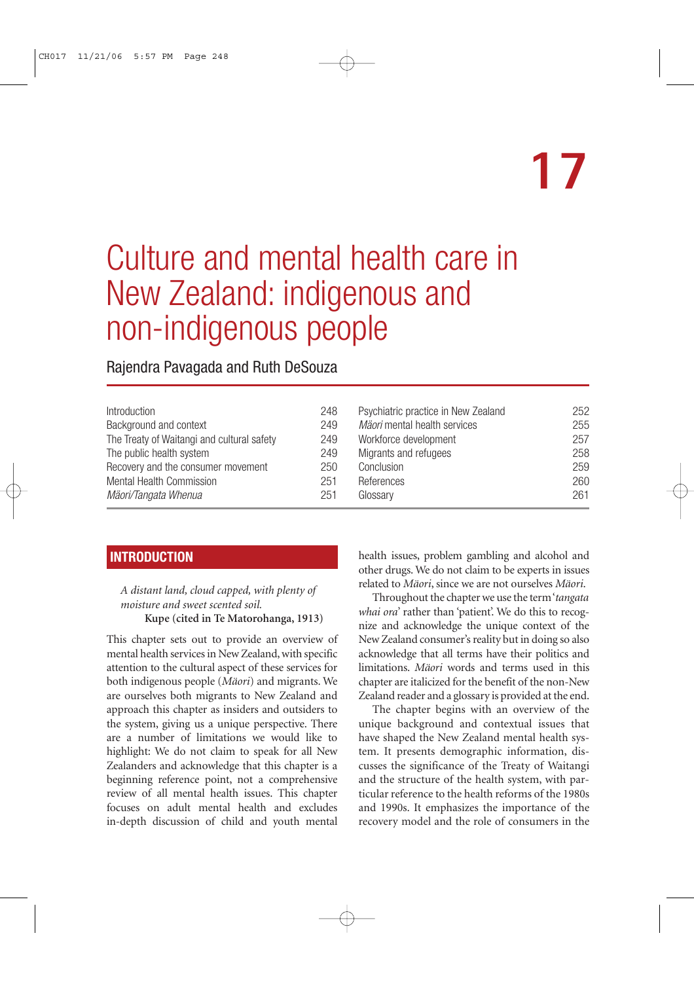# **17**

# Culture and mental health care in New Zealand: indigenous and non-indigenous people

# Rajendra Pavagada and Ruth DeSouza

| <b>Introduction</b><br>Background and context<br>The Treaty of Waitangi and cultural safety<br>The public health system<br>Recovery and the consumer movement<br>Mental Health Commission | 248<br>249<br>249<br>249<br>250<br>251 | Psychiatric practice in New Zealand<br>Mäori mental health services<br>Workforce development<br>Migrants and refugees<br>Conclusion<br>References | 252<br>255<br>257<br>258<br>259<br>260 |
|-------------------------------------------------------------------------------------------------------------------------------------------------------------------------------------------|----------------------------------------|---------------------------------------------------------------------------------------------------------------------------------------------------|----------------------------------------|
| Mäori/Tangata Whenua                                                                                                                                                                      | 251                                    | Glossary                                                                                                                                          | 261                                    |
|                                                                                                                                                                                           |                                        |                                                                                                                                                   |                                        |

# **INTRODUCTION**

#### *A distant land, cloud capped, with plenty of moisture and sweet scented soil.* **Kupe (cited in Te Matorohanga, 1913)**

This chapter sets out to provide an overview of mental health services in New Zealand, with specific attention to the cultural aspect of these services for both indigenous people (*Mäori*) and migrants. We are ourselves both migrants to New Zealand and approach this chapter as insiders and outsiders to the system, giving us a unique perspective. There are a number of limitations we would like to highlight: We do not claim to speak for all New Zealanders and acknowledge that this chapter is a beginning reference point, not a comprehensive review of all mental health issues. This chapter focuses on adult mental health and excludes in-depth discussion of child and youth mental health issues, problem gambling and alcohol and other drugs. We do not claim to be experts in issues related to *Mäori*, since we are not ourselves *Mäori*.

Throughout the chapter we use the term '*tangata whai ora*' rather than 'patient'. We do this to recognize and acknowledge the unique context of the New Zealand consumer's reality but in doing so also acknowledge that all terms have their politics and limitations. *Mäori* words and terms used in this chapter are italicized for the benefit of the non-New Zealand reader and a glossary is provided at the end.

The chapter begins with an overview of the unique background and contextual issues that have shaped the New Zealand mental health system. It presents demographic information, discusses the significance of the Treaty of Waitangi and the structure of the health system, with particular reference to the health reforms of the 1980s and 1990s. It emphasizes the importance of the recovery model and the role of consumers in the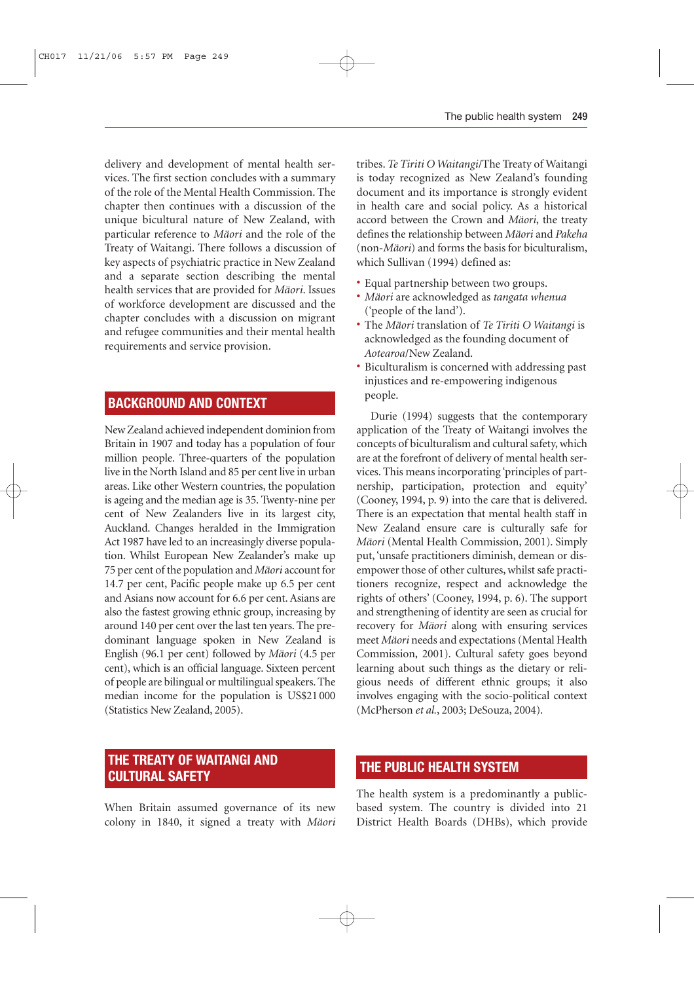delivery and development of mental health services. The first section concludes with a summary of the role of the Mental Health Commission. The chapter then continues with a discussion of the unique bicultural nature of New Zealand, with particular reference to *Mäori* and the role of the Treaty of Waitangi. There follows a discussion of key aspects of psychiatric practice in New Zealand and a separate section describing the mental health services that are provided for *Mäori*. Issues of workforce development are discussed and the chapter concludes with a discussion on migrant and refugee communities and their mental health requirements and service provision.

# **BACKGROUND AND CONTEXT**

New Zealand achieved independent dominion from Britain in 1907 and today has a population of four million people. Three-quarters of the population live in the North Island and 85 per cent live in urban areas. Like other Western countries, the population is ageing and the median age is 35. Twenty-nine per cent of New Zealanders live in its largest city, Auckland. Changes heralded in the Immigration Act 1987 have led to an increasingly diverse population. Whilst European New Zealander's make up 75 per cent of the population and *Mäori* account for 14.7 per cent, Pacific people make up 6.5 per cent and Asians now account for 6.6 per cent. Asians are also the fastest growing ethnic group, increasing by around 140 per cent over the last ten years. The predominant language spoken in New Zealand is English (96.1 per cent) followed by *Mäori* (4.5 per cent), which is an official language. Sixteen percent of people are bilingual or multilingual speakers. The median income for the population is US\$21 000 (Statistics New Zealand, 2005).

# **THE TREATY OF WAITANGI AND CULTURAL SAFETY**

When Britain assumed governance of its new colony in 1840, it signed a treaty with *Mäori* tribes. *Te Tiriti O Waitangi*/The Treaty of Waitangi is today recognized as New Zealand's founding document and its importance is strongly evident in health care and social policy. As a historical accord between the Crown and *Mäori*, the treaty defines the relationship between *Mäori* and *Pakeha* (non-*Mäori*) and forms the basis for biculturalism, which Sullivan (1994) defined as:

- Equal partnership between two groups.
- *Mäori* are acknowledged as *tangata whenua* ('people of the land').
- The *Mäori* translation of *Te Tiriti O Waitangi* is acknowledged as the founding document of *Aotearoa*/New Zealand.
- Biculturalism is concerned with addressing past injustices and re-empowering indigenous people.

Durie (1994) suggests that the contemporary application of the Treaty of Waitangi involves the concepts of biculturalism and cultural safety, which are at the forefront of delivery of mental health services. This means incorporating 'principles of partnership, participation, protection and equity' (Cooney, 1994, p. 9) into the care that is delivered. There is an expectation that mental health staff in New Zealand ensure care is culturally safe for *Mäori* (Mental Health Commission, 2001). Simply put, 'unsafe practitioners diminish, demean or disempower those of other cultures, whilst safe practitioners recognize, respect and acknowledge the rights of others' (Cooney, 1994, p. 6). The support and strengthening of identity are seen as crucial for recovery for *Mäori* along with ensuring services meet *Mäori* needs and expectations (Mental Health Commission, 2001). Cultural safety goes beyond learning about such things as the dietary or religious needs of different ethnic groups; it also involves engaging with the socio-political context (McPherson *et al.*, 2003; DeSouza, 2004).

#### **THE PUBLIC HEALTH SYSTEM**

The health system is a predominantly a publicbased system. The country is divided into 21 District Health Boards (DHBs), which provide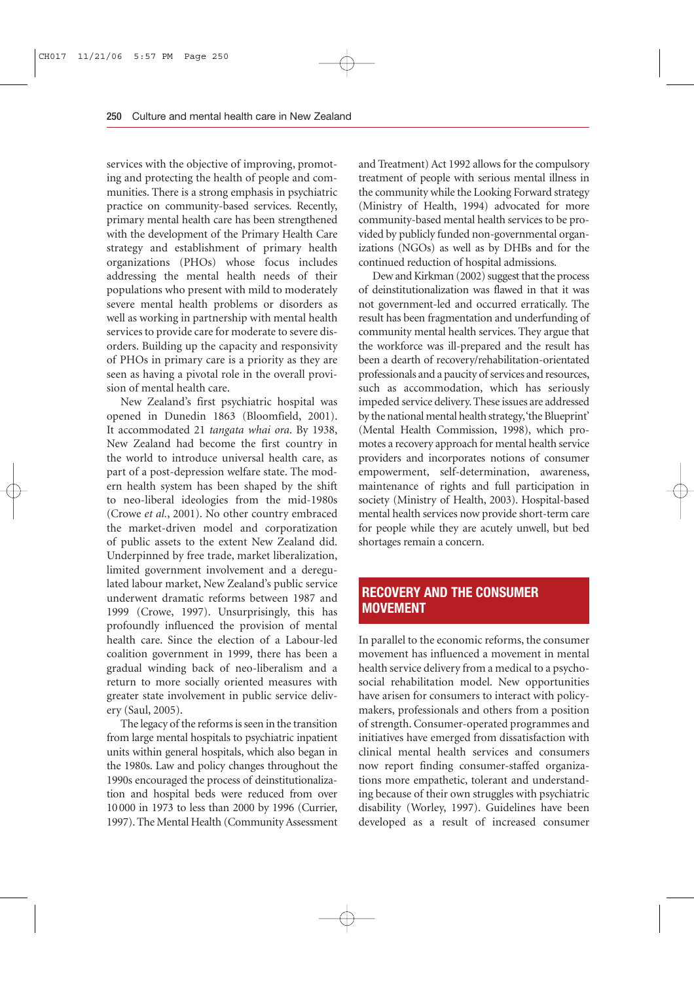services with the objective of improving, promoting and protecting the health of people and communities. There is a strong emphasis in psychiatric practice on community-based services. Recently, primary mental health care has been strengthened with the development of the Primary Health Care strategy and establishment of primary health organizations (PHOs) whose focus includes addressing the mental health needs of their populations who present with mild to moderately severe mental health problems or disorders as well as working in partnership with mental health services to provide care for moderate to severe disorders. Building up the capacity and responsivity of PHOs in primary care is a priority as they are seen as having a pivotal role in the overall provision of mental health care.

New Zealand's first psychiatric hospital was opened in Dunedin 1863 (Bloomfield, 2001). It accommodated 21 *tangata whai ora*. By 1938, New Zealand had become the first country in the world to introduce universal health care, as part of a post-depression welfare state. The modern health system has been shaped by the shift to neo-liberal ideologies from the mid-1980s (Crowe *et al.*, 2001). No other country embraced the market-driven model and corporatization of public assets to the extent New Zealand did. Underpinned by free trade, market liberalization, limited government involvement and a deregulated labour market, New Zealand's public service underwent dramatic reforms between 1987 and 1999 (Crowe, 1997). Unsurprisingly, this has profoundly influenced the provision of mental health care. Since the election of a Labour-led coalition government in 1999, there has been a gradual winding back of neo-liberalism and a return to more socially oriented measures with greater state involvement in public service delivery (Saul, 2005).

The legacy of the reforms is seen in the transition from large mental hospitals to psychiatric inpatient units within general hospitals, which also began in the 1980s. Law and policy changes throughout the 1990s encouraged the process of deinstitutionalization and hospital beds were reduced from over 10 000 in 1973 to less than 2000 by 1996 (Currier, 1997). The Mental Health (Community Assessment and Treatment) Act 1992 allows for the compulsory treatment of people with serious mental illness in the community while the Looking Forward strategy (Ministry of Health, 1994) advocated for more community-based mental health services to be provided by publicly funded non-governmental organizations (NGOs) as well as by DHBs and for the continued reduction of hospital admissions.

Dew and Kirkman (2002) suggest that the process of deinstitutionalization was flawed in that it was not government-led and occurred erratically. The result has been fragmentation and underfunding of community mental health services. They argue that the workforce was ill-prepared and the result has been a dearth of recovery/rehabilitation-orientated professionals and a paucity of services and resources, such as accommodation, which has seriously impeded service delivery. These issues are addressed by the national mental health strategy, 'the Blueprint' (Mental Health Commission, 1998), which promotes a recovery approach for mental health service providers and incorporates notions of consumer empowerment, self-determination, awareness, maintenance of rights and full participation in society (Ministry of Health, 2003). Hospital-based mental health services now provide short-term care for people while they are acutely unwell, but bed shortages remain a concern.

# **RECOVERY AND THE CONSUMER MOVEMENT**

In parallel to the economic reforms, the consumer movement has influenced a movement in mental health service delivery from a medical to a psychosocial rehabilitation model. New opportunities have arisen for consumers to interact with policymakers, professionals and others from a position of strength. Consumer-operated programmes and initiatives have emerged from dissatisfaction with clinical mental health services and consumers now report finding consumer-staffed organizations more empathetic, tolerant and understanding because of their own struggles with psychiatric disability (Worley, 1997). Guidelines have been developed as a result of increased consumer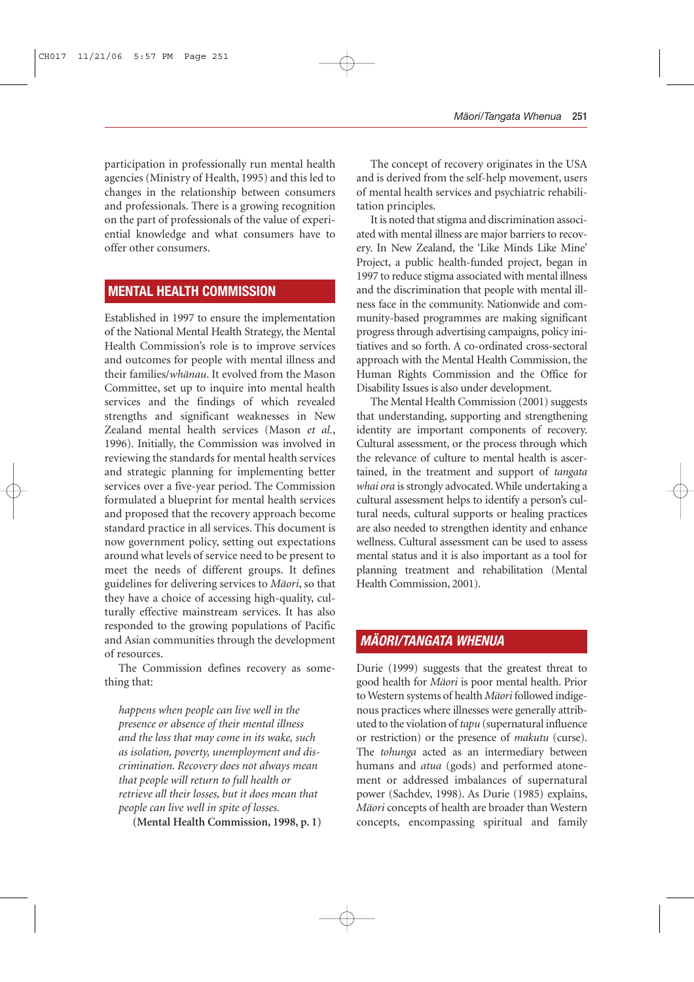participation in professionally run mental health agencies (Ministry of Health, 1995) and this led to changes in the relationship between consumers and professionals. There is a growing recognition on the part of professionals of the value of experiential knowledge and what consumers have to offer other consumers.

## **MENTAL HEALTH COMMISSION**

Established in 1997 to ensure the implementation of the National Mental Health Strategy, the Mental Health Commission's role is to improve services and outcomes for people with mental illness and their families/*whänau*. It evolved from the Mason Committee, set up to inquire into mental health services and the findings of which revealed strengths and significant weaknesses in New Zealand mental health services (Mason *et al.*, 1996). Initially, the Commission was involved in reviewing the standards for mental health services and strategic planning for implementing better services over a five-year period. The Commission formulated a blueprint for mental health services and proposed that the recovery approach become standard practice in all services. This document is now government policy, setting out expectations around what levels of service need to be present to meet the needs of different groups. It defines guidelines for delivering services to *Mäori*, so that they have a choice of accessing high-quality, culturally effective mainstream services. It has also responded to the growing populations of Pacific and Asian communities through the development of resources.

The Commission defines recovery as something that:

*happens when people can live well in the presence or absence of their mental illness and the loss that may come in its wake, such as isolation, poverty, unemployment and discrimination. Recovery does not always mean that people will return to full health or retrieve all their losses, but it does mean that people can live well in spite of losses.*

**(Mental Health Commission, 1998, p. 1)**

The concept of recovery originates in the USA and is derived from the self-help movement, users of mental health services and psychiatric rehabilitation principles.

It is noted that stigma and discrimination associated with mental illness are major barriers to recovery. In New Zealand, the 'Like Minds Like Mine' Project, a public health-funded project, began in 1997 to reduce stigma associated with mental illness and the discrimination that people with mental illness face in the community. Nationwide and community-based programmes are making significant progress through advertising campaigns, policy initiatives and so forth. A co-ordinated cross-sectoral approach with the Mental Health Commission, the Human Rights Commission and the Office for Disability Issues is also under development.

The Mental Health Commission (2001) suggests that understanding, supporting and strengthening identity are important components of recovery. Cultural assessment, or the process through which the relevance of culture to mental health is ascertained, in the treatment and support of *tangata whai ora* is strongly advocated. While undertaking a cultural assessment helps to identify a person's cultural needs, cultural supports or healing practices are also needed to strengthen identity and enhance wellness. Cultural assessment can be used to assess mental status and it is also important as a tool for planning treatment and rehabilitation (Mental Health Commission, 2001).

#### **MÄORI/TANGATA WHENUA**

Durie (1999) suggests that the greatest threat to good health for *Mäori* is poor mental health. Prior to Western systems of health *Mäori* followed indigenous practices where illnesses were generally attributed to the violation of *tapu* (supernatural influence or restriction) or the presence of *makutu* (curse). The *tohunga* acted as an intermediary between humans and *atua* (gods) and performed atonement or addressed imbalances of supernatural power (Sachdev, 1998). As Durie (1985) explains, *Mäori* concepts of health are broader than Western concepts, encompassing spiritual and family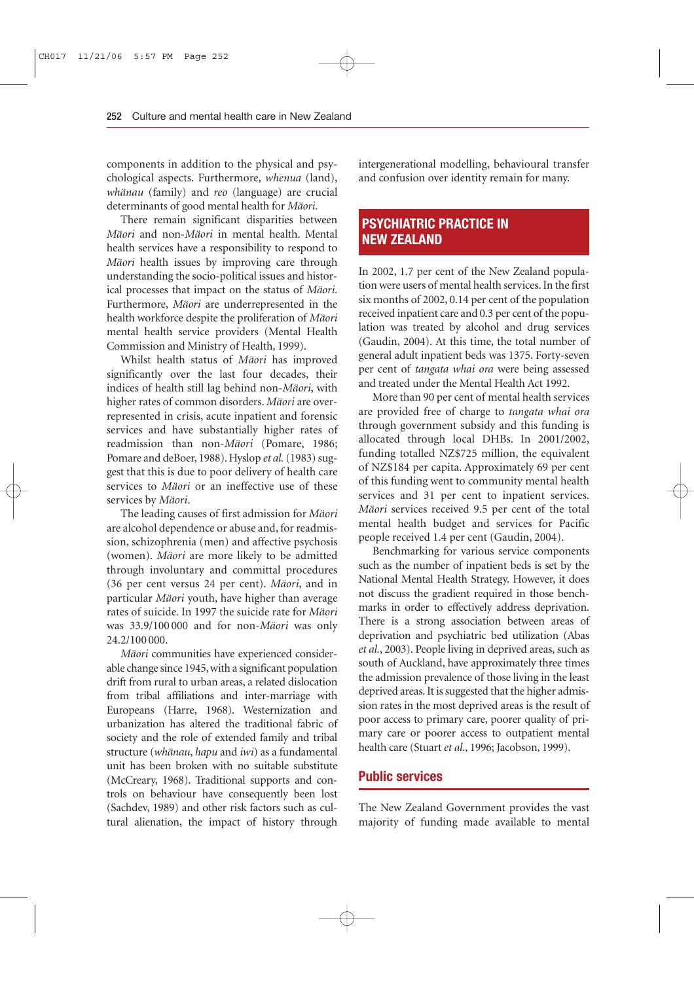components in addition to the physical and psychological aspects. Furthermore, *whenua* (land), *whänau* (family) and *reo* (language) are crucial determinants of good mental health for *Mäori*.

There remain significant disparities between *Mäori* and non-*Mäori* in mental health. Mental health services have a responsibility to respond to *Mäori* health issues by improving care through understanding the socio-political issues and historical processes that impact on the status of *Mäori*. Furthermore, *Mäori* are underrepresented in the health workforce despite the proliferation of *Mäori* mental health service providers (Mental Health Commission and Ministry of Health, 1999).

Whilst health status of *Mäori* has improved significantly over the last four decades, their indices of health still lag behind non-*Mäori*, with higher rates of common disorders. *Mäori* are overrepresented in crisis, acute inpatient and forensic services and have substantially higher rates of readmission than non-*Mäori* (Pomare, 1986; Pomare and deBoer, 1988). Hyslop *et al.*(1983) suggest that this is due to poor delivery of health care services to *Mäori* or an ineffective use of these services by *Mäori*.

The leading causes of first admission for *Mäori* are alcohol dependence or abuse and, for readmission, schizophrenia (men) and affective psychosis (women). *Mäori* are more likely to be admitted through involuntary and committal procedures (36 per cent versus 24 per cent). *Mäori*, and in particular *Mäori* youth, have higher than average rates of suicide. In 1997 the suicide rate for *Mäori* was 33.9/100 000 and for non-*Mäori* was only 24.2/100 000.

*Mäori* communities have experienced considerable change since 1945, with a significant population drift from rural to urban areas, a related dislocation from tribal affiliations and inter-marriage with Europeans (Harre, 1968). Westernization and urbanization has altered the traditional fabric of society and the role of extended family and tribal structure (*whänau*, *hapu* and *iwi*) as a fundamental unit has been broken with no suitable substitute (McCreary, 1968). Traditional supports and controls on behaviour have consequently been lost (Sachdev, 1989) and other risk factors such as cultural alienation, the impact of history through

intergenerational modelling, behavioural transfer and confusion over identity remain for many.

# **PSYCHIATRIC PRACTICE IN NEW ZEALAND**

In 2002, 1.7 per cent of the New Zealand population were users of mental health services. In the first six months of 2002, 0.14 per cent of the population received inpatient care and 0.3 per cent of the population was treated by alcohol and drug services (Gaudin, 2004). At this time, the total number of general adult inpatient beds was 1375. Forty-seven per cent of *tangata whai ora* were being assessed and treated under the Mental Health Act 1992.

More than 90 per cent of mental health services are provided free of charge to *tangata whai ora* through government subsidy and this funding is allocated through local DHBs. In 2001/2002, funding totalled NZ\$725 million, the equivalent of NZ\$184 per capita. Approximately 69 per cent of this funding went to community mental health services and 31 per cent to inpatient services. *Mäori* services received 9.5 per cent of the total mental health budget and services for Pacific people received 1.4 per cent (Gaudin, 2004).

Benchmarking for various service components such as the number of inpatient beds is set by the National Mental Health Strategy. However, it does not discuss the gradient required in those benchmarks in order to effectively address deprivation. There is a strong association between areas of deprivation and psychiatric bed utilization (Abas *et al.*, 2003). People living in deprived areas, such as south of Auckland, have approximately three times the admission prevalence of those living in the least deprived areas. It is suggested that the higher admission rates in the most deprived areas is the result of poor access to primary care, poorer quality of primary care or poorer access to outpatient mental health care (Stuart *et al.*, 1996; Jacobson, 1999).

#### **Public services**

The New Zealand Government provides the vast majority of funding made available to mental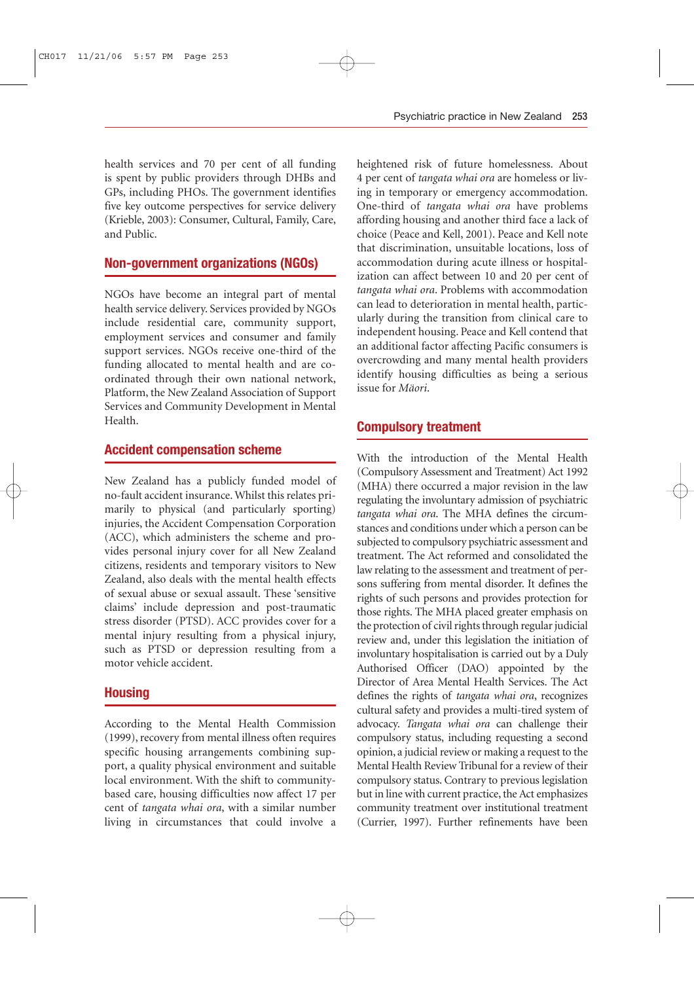health services and 70 per cent of all funding is spent by public providers through DHBs and GPs, including PHOs. The government identifies five key outcome perspectives for service delivery (Krieble, 2003): Consumer, Cultural, Family, Care, and Public.

#### **Non-government organizations (NGOs)**

NGOs have become an integral part of mental health service delivery. Services provided by NGOs include residential care, community support, employment services and consumer and family support services. NGOs receive one-third of the funding allocated to mental health and are coordinated through their own national network, Platform, the New Zealand Association of Support Services and Community Development in Mental Health.

#### **Accident compensation scheme**

New Zealand has a publicly funded model of no-fault accident insurance. Whilst this relates primarily to physical (and particularly sporting) injuries, the Accident Compensation Corporation (ACC), which administers the scheme and provides personal injury cover for all New Zealand citizens, residents and temporary visitors to New Zealand, also deals with the mental health effects of sexual abuse or sexual assault. These 'sensitive claims' include depression and post-traumatic stress disorder (PTSD). ACC provides cover for a mental injury resulting from a physical injury, such as PTSD or depression resulting from a motor vehicle accident.

#### **Housing**

According to the Mental Health Commission (1999), recovery from mental illness often requires specific housing arrangements combining support, a quality physical environment and suitable local environment. With the shift to communitybased care, housing difficulties now affect 17 per cent of *tangata whai ora*, with a similar number living in circumstances that could involve a

heightened risk of future homelessness. About 4 per cent of *tangata whai ora* are homeless or living in temporary or emergency accommodation. One-third of *tangata whai ora* have problems affording housing and another third face a lack of choice (Peace and Kell, 2001). Peace and Kell note that discrimination, unsuitable locations, loss of accommodation during acute illness or hospitalization can affect between 10 and 20 per cent of *tangata whai ora*. Problems with accommodation can lead to deterioration in mental health, particularly during the transition from clinical care to independent housing. Peace and Kell contend that an additional factor affecting Pacific consumers is overcrowding and many mental health providers identify housing difficulties as being a serious issue for *Mäori*.

#### **Compulsory treatment**

With the introduction of the Mental Health (Compulsory Assessment and Treatment) Act 1992 (MHA) there occurred a major revision in the law regulating the involuntary admission of psychiatric *tangata whai ora*. The MHA defines the circumstances and conditions under which a person can be subjected to compulsory psychiatric assessment and treatment. The Act reformed and consolidated the law relating to the assessment and treatment of persons suffering from mental disorder. It defines the rights of such persons and provides protection for those rights. The MHA placed greater emphasis on the protection of civil rights through regular judicial review and, under this legislation the initiation of involuntary hospitalisation is carried out by a Duly Authorised Officer (DAO) appointed by the Director of Area Mental Health Services. The Act defines the rights of *tangata whai ora*, recognizes cultural safety and provides a multi-tired system of advocacy. *Tangata whai ora* can challenge their compulsory status, including requesting a second opinion, a judicial review or making a request to the Mental Health Review Tribunal for a review of their compulsory status. Contrary to previous legislation but in line with current practice, the Act emphasizes community treatment over institutional treatment (Currier, 1997). Further refinements have been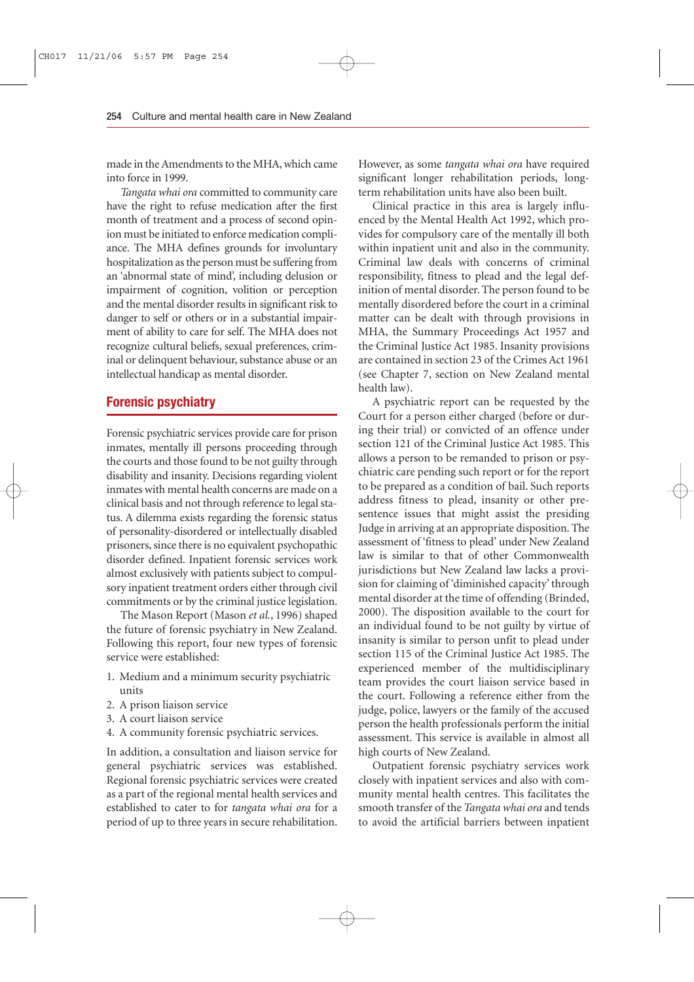made in the Amendments to the MHA, which came into force in 1999.

*Tangata whai ora* committed to community care have the right to refuse medication after the first month of treatment and a process of second opinion must be initiated to enforce medication compliance. The MHA defines grounds for involuntary hospitalization as the person must be suffering from an 'abnormal state of mind', including delusion or impairment of cognition, volition or perception and the mental disorder results in significant risk to danger to self or others or in a substantial impairment of ability to care for self. The MHA does not recognize cultural beliefs, sexual preferences, criminal or delinquent behaviour, substance abuse or an intellectual handicap as mental disorder.

#### **Forensic psychiatry**

Forensic psychiatric services provide care for prison inmates, mentally ill persons proceeding through the courts and those found to be not guilty through disability and insanity. Decisions regarding violent inmates with mental health concerns are made on a clinical basis and not through reference to legal status. A dilemma exists regarding the forensic status of personality-disordered or intellectually disabled prisoners, since there is no equivalent psychopathic disorder defined. Inpatient forensic services work almost exclusively with patients subject to compulsory inpatient treatment orders either through civil commitments or by the criminal justice legislation.

The Mason Report (Mason *et al.*, 1996) shaped the future of forensic psychiatry in New Zealand. Following this report, four new types of forensic service were established:

- 1. Medium and a minimum security psychiatric units
- 2. A prison liaison service
- 3. A court liaison service
- 4. A community forensic psychiatric services.

In addition, a consultation and liaison service for general psychiatric services was established. Regional forensic psychiatric services were created as a part of the regional mental health services and established to cater to for *tangata whai ora* for a period of up to three years in secure rehabilitation. However, as some *tangata whai ora* have required significant longer rehabilitation periods, longterm rehabilitation units have also been built.

Clinical practice in this area is largely influenced by the Mental Health Act 1992, which provides for compulsory care of the mentally ill both within inpatient unit and also in the community. Criminal law deals with concerns of criminal responsibility, fitness to plead and the legal definition of mental disorder. The person found to be mentally disordered before the court in a criminal matter can be dealt with through provisions in MHA, the Summary Proceedings Act 1957 and the Criminal Justice Act 1985. Insanity provisions are contained in section 23 of the Crimes Act 1961 (see Chapter 7, section on New Zealand mental health law).

A psychiatric report can be requested by the Court for a person either charged (before or during their trial) or convicted of an offence under section 121 of the Criminal Justice Act 1985. This allows a person to be remanded to prison or psychiatric care pending such report or for the report to be prepared as a condition of bail. Such reports address fitness to plead, insanity or other presentence issues that might assist the presiding Judge in arriving at an appropriate disposition. The assessment of 'fitness to plead' under New Zealand law is similar to that of other Commonwealth jurisdictions but New Zealand law lacks a provision for claiming of 'diminished capacity' through mental disorder at the time of offending (Brinded, 2000). The disposition available to the court for an individual found to be not guilty by virtue of insanity is similar to person unfit to plead under section 115 of the Criminal Justice Act 1985. The experienced member of the multidisciplinary team provides the court liaison service based in the court. Following a reference either from the judge, police, lawyers or the family of the accused person the health professionals perform the initial assessment. This service is available in almost all high courts of New Zealand.

Outpatient forensic psychiatry services work closely with inpatient services and also with community mental health centres. This facilitates the smooth transfer of the *Tangata whai ora* and tends to avoid the artificial barriers between inpatient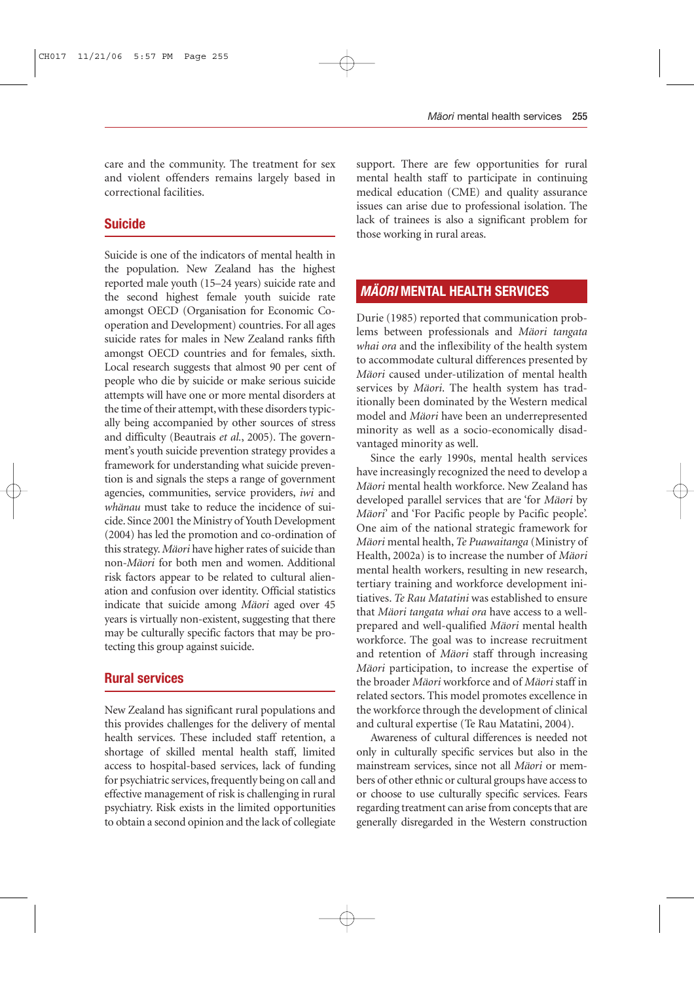care and the community. The treatment for sex and violent offenders remains largely based in correctional facilities.

## **Suicide**

Suicide is one of the indicators of mental health in the population. New Zealand has the highest reported male youth (15–24 years) suicide rate and the second highest female youth suicide rate amongst OECD (Organisation for Economic Cooperation and Development) countries. For all ages suicide rates for males in New Zealand ranks fifth amongst OECD countries and for females, sixth. Local research suggests that almost 90 per cent of people who die by suicide or make serious suicide attempts will have one or more mental disorders at the time of their attempt, with these disorders typically being accompanied by other sources of stress and difficulty (Beautrais *et al.*, 2005). The government's youth suicide prevention strategy provides a framework for understanding what suicide prevention is and signals the steps a range of government agencies, communities, service providers, *iwi* and *whänau* must take to reduce the incidence of suicide. Since 2001 the Ministry of Youth Development (2004) has led the promotion and co-ordination of this strategy. *Mäori* have higher rates of suicide than non-*Mäori* for both men and women. Additional risk factors appear to be related to cultural alienation and confusion over identity. Official statistics indicate that suicide among *Mäori* aged over 45 years is virtually non-existent, suggesting that there may be culturally specific factors that may be protecting this group against suicide.

#### **Rural services**

New Zealand has significant rural populations and this provides challenges for the delivery of mental health services. These included staff retention, a shortage of skilled mental health staff, limited access to hospital-based services, lack of funding for psychiatric services, frequently being on call and effective management of risk is challenging in rural psychiatry. Risk exists in the limited opportunities to obtain a second opinion and the lack of collegiate support. There are few opportunities for rural mental health staff to participate in continuing medical education (CME) and quality assurance issues can arise due to professional isolation. The lack of trainees is also a significant problem for those working in rural areas.

# **MÄORI MENTAL HEALTH SERVICES**

Durie (1985) reported that communication problems between professionals and *Mäori tangata whai ora* and the inflexibility of the health system to accommodate cultural differences presented by *Mäori* caused under-utilization of mental health services by *Mäori*. The health system has traditionally been dominated by the Western medical model and *Mäori* have been an underrepresented minority as well as a socio-economically disadvantaged minority as well.

Since the early 1990s, mental health services have increasingly recognized the need to develop a *Mäori* mental health workforce. New Zealand has developed parallel services that are 'for *Mäori* by *Mäori*' and 'For Pacific people by Pacific people'. One aim of the national strategic framework for *Mäori* mental health, *Te Puawaitanga* (Ministry of Health, 2002a) is to increase the number of *Mäori* mental health workers, resulting in new research, tertiary training and workforce development initiatives. *Te Rau Matatini* was established to ensure that *Mäori tangata whai ora* have access to a wellprepared and well-qualified *Mäori* mental health workforce. The goal was to increase recruitment and retention of *Mäori* staff through increasing *Mäori* participation, to increase the expertise of the broader *Mäori* workforce and of *Mäori* staff in related sectors. This model promotes excellence in the workforce through the development of clinical and cultural expertise (Te Rau Matatini, 2004).

Awareness of cultural differences is needed not only in culturally specific services but also in the mainstream services, since not all *Mäori* or members of other ethnic or cultural groups have access to or choose to use culturally specific services. Fears regarding treatment can arise from concepts that are generally disregarded in the Western construction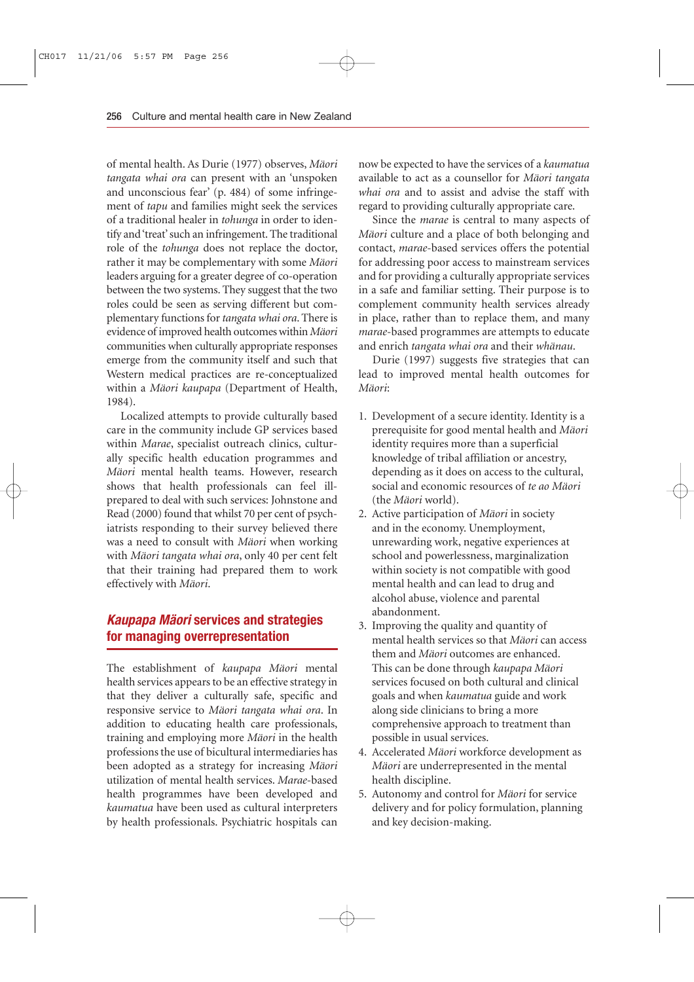of mental health. As Durie (1977) observes, *Mäori tangata whai ora* can present with an 'unspoken and unconscious fear' (p. 484) of some infringement of *tapu* and families might seek the services of a traditional healer in *tohunga* in order to identify and 'treat' such an infringement. The traditional role of the *tohunga* does not replace the doctor, rather it may be complementary with some *Mäori* leaders arguing for a greater degree of co-operation between the two systems. They suggest that the two roles could be seen as serving different but complementary functions for *tangata whai ora*. There is evidence of improved health outcomes within *Mäori* communities when culturally appropriate responses emerge from the community itself and such that Western medical practices are re-conceptualized within a *Mäori kaupapa* (Department of Health, 1984).

Localized attempts to provide culturally based care in the community include GP services based within *Marae*, specialist outreach clinics, culturally specific health education programmes and *Mäori* mental health teams. However, research shows that health professionals can feel illprepared to deal with such services: Johnstone and Read (2000) found that whilst 70 per cent of psychiatrists responding to their survey believed there was a need to consult with *Mäori* when working with *Mäori tangata whai ora*, only 40 per cent felt that their training had prepared them to work effectively with *Mäori*.

# **Kaupapa Mäori services and strategies for managing overrepresentation**

The establishment of *kaupapa Mäori* mental health services appears to be an effective strategy in that they deliver a culturally safe, specific and responsive service to *Mäori tangata whai ora*. In addition to educating health care professionals, training and employing more *Mäori* in the health professions the use of bicultural intermediaries has been adopted as a strategy for increasing *Mäori* utilization of mental health services. *Marae*-based health programmes have been developed and *kaumatua* have been used as cultural interpreters by health professionals. Psychiatric hospitals can now be expected to have the services of a *kaumatua* available to act as a counsellor for *Mäori tangata whai ora* and to assist and advise the staff with regard to providing culturally appropriate care.

Since the *marae* is central to many aspects of *Mäori* culture and a place of both belonging and contact, *marae*-based services offers the potential for addressing poor access to mainstream services and for providing a culturally appropriate services in a safe and familiar setting. Their purpose is to complement community health services already in place, rather than to replace them, and many *marae*-based programmes are attempts to educate and enrich *tangata whai ora* and their *whänau*.

Durie (1997) suggests five strategies that can lead to improved mental health outcomes for *Mäori*:

- 1. Development of a secure identity. Identity is a prerequisite for good mental health and *Mäori* identity requires more than a superficial knowledge of tribal affiliation or ancestry, depending as it does on access to the cultural, social and economic resources of *te ao Mäori* (the *Mäori* world).
- 2. Active participation of *Mäori* in society and in the economy. Unemployment, unrewarding work, negative experiences at school and powerlessness, marginalization within society is not compatible with good mental health and can lead to drug and alcohol abuse, violence and parental abandonment.
- 3. Improving the quality and quantity of mental health services so that *Mäori* can access them and *Mäori* outcomes are enhanced. This can be done through *kaupapa Mäori* services focused on both cultural and clinical goals and when *kaumatua* guide and work along side clinicians to bring a more comprehensive approach to treatment than possible in usual services.
- 4. Accelerated *Mäori* workforce development as *Mäori* are underrepresented in the mental health discipline.
- 5. Autonomy and control for *Mäori* for service delivery and for policy formulation, planning and key decision-making.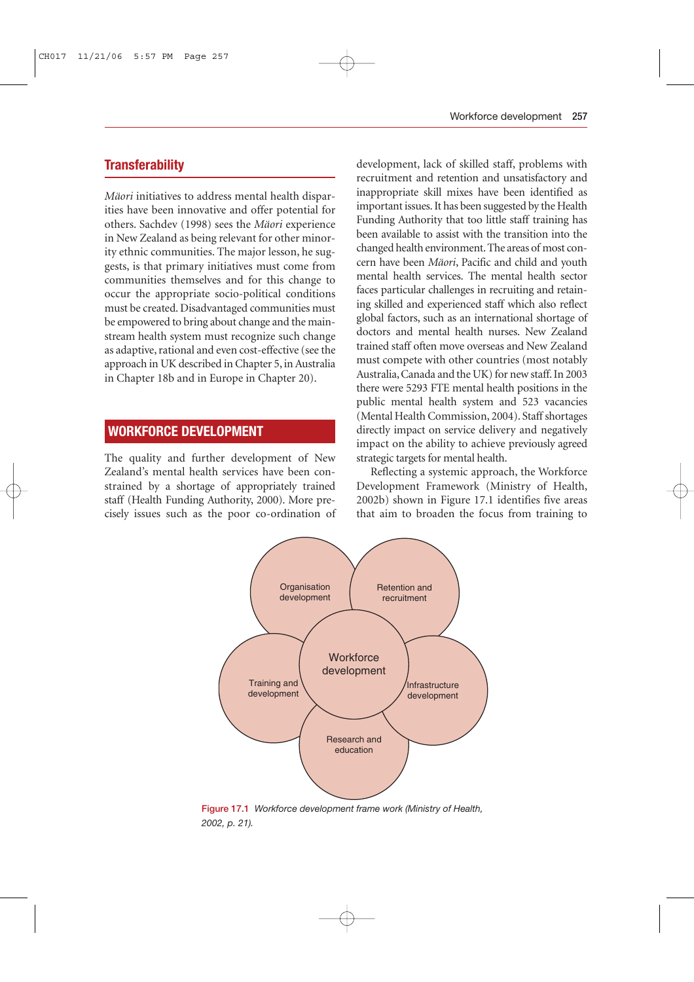#### **Transferability**

*Mäori* initiatives to address mental health disparities have been innovative and offer potential for others. Sachdev (1998) sees the *Mäori* experience in New Zealand as being relevant for other minority ethnic communities. The major lesson, he suggests, is that primary initiatives must come from communities themselves and for this change to occur the appropriate socio-political conditions must be created. Disadvantaged communities must be empowered to bring about change and the mainstream health system must recognize such change as adaptive, rational and even cost-effective (see the approach in UK described in Chapter 5, in Australia in Chapter 18b and in Europe in Chapter 20).

# **WORKFORCE DEVELOPMENT**

The quality and further development of New Zealand's mental health services have been constrained by a shortage of appropriately trained staff (Health Funding Authority, 2000). More precisely issues such as the poor co-ordination of development, lack of skilled staff, problems with recruitment and retention and unsatisfactory and inappropriate skill mixes have been identified as important issues. It has been suggested by the Health Funding Authority that too little staff training has been available to assist with the transition into the changed health environment. The areas of most concern have been *Mäori*, Pacific and child and youth mental health services. The mental health sector faces particular challenges in recruiting and retaining skilled and experienced staff which also reflect global factors, such as an international shortage of doctors and mental health nurses. New Zealand trained staff often move overseas and New Zealand must compete with other countries (most notably Australia, Canada and the UK) for new staff. In 2003 there were 5293 FTE mental health positions in the public mental health system and 523 vacancies (Mental Health Commission, 2004). Staff shortages directly impact on service delivery and negatively impact on the ability to achieve previously agreed strategic targets for mental health.

Reflecting a systemic approach, the Workforce Development Framework (Ministry of Health, 2002b) shown in Figure 17.1 identifies five areas that aim to broaden the focus from training to



**Figure 17.1** *Workforce development frame work (Ministry of Health, 2002, p. 21).*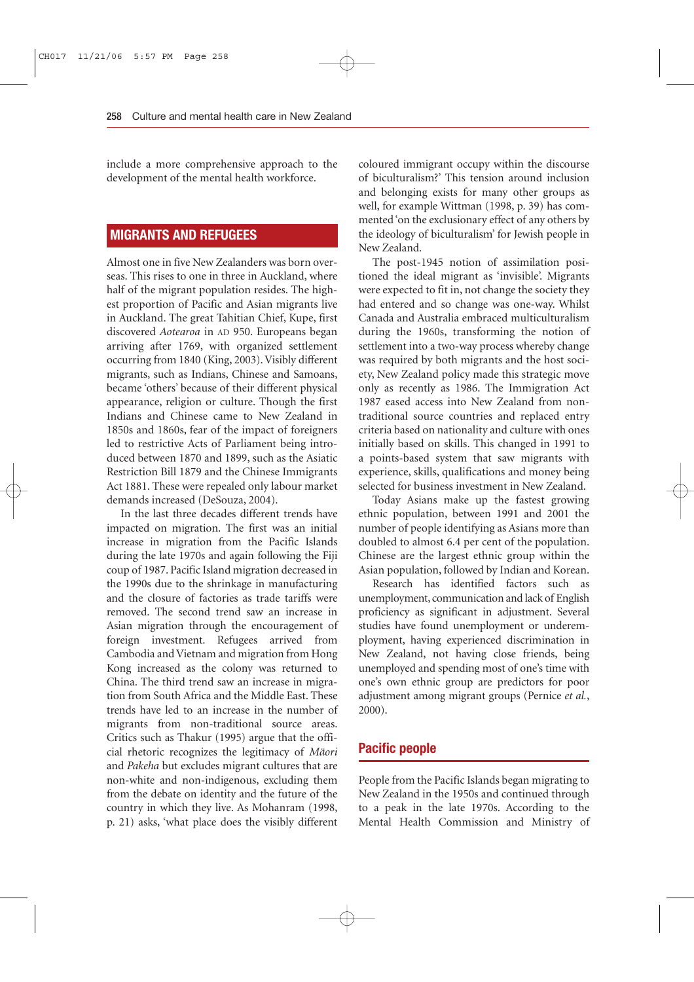include a more comprehensive approach to the development of the mental health workforce.

#### **MIGRANTS AND REFUGEES**

Almost one in five New Zealanders was born overseas. This rises to one in three in Auckland, where half of the migrant population resides. The highest proportion of Pacific and Asian migrants live in Auckland. The great Tahitian Chief, Kupe, first discovered *Aotearoa* in AD 950. Europeans began arriving after 1769, with organized settlement occurring from 1840 (King, 2003). Visibly different migrants, such as Indians, Chinese and Samoans, became 'others' because of their different physical appearance, religion or culture. Though the first Indians and Chinese came to New Zealand in 1850s and 1860s, fear of the impact of foreigners led to restrictive Acts of Parliament being introduced between 1870 and 1899, such as the Asiatic Restriction Bill 1879 and the Chinese Immigrants Act 1881. These were repealed only labour market demands increased (DeSouza, 2004).

In the last three decades different trends have impacted on migration. The first was an initial increase in migration from the Pacific Islands during the late 1970s and again following the Fiji coup of 1987. Pacific Island migration decreased in the 1990s due to the shrinkage in manufacturing and the closure of factories as trade tariffs were removed. The second trend saw an increase in Asian migration through the encouragement of foreign investment. Refugees arrived from Cambodia and Vietnam and migration from Hong Kong increased as the colony was returned to China. The third trend saw an increase in migration from South Africa and the Middle East. These trends have led to an increase in the number of migrants from non-traditional source areas. Critics such as Thakur (1995) argue that the official rhetoric recognizes the legitimacy of *Mäori* and *Pakeha* but excludes migrant cultures that are non-white and non-indigenous, excluding them from the debate on identity and the future of the country in which they live. As Mohanram (1998, p. 21) asks, 'what place does the visibly different

coloured immigrant occupy within the discourse of biculturalism?' This tension around inclusion and belonging exists for many other groups as well, for example Wittman (1998, p. 39) has commented 'on the exclusionary effect of any others by the ideology of biculturalism' for Jewish people in New Zealand.

The post-1945 notion of assimilation positioned the ideal migrant as 'invisible'. Migrants were expected to fit in, not change the society they had entered and so change was one-way. Whilst Canada and Australia embraced multiculturalism during the 1960s, transforming the notion of settlement into a two-way process whereby change was required by both migrants and the host society, New Zealand policy made this strategic move only as recently as 1986. The Immigration Act 1987 eased access into New Zealand from nontraditional source countries and replaced entry criteria based on nationality and culture with ones initially based on skills. This changed in 1991 to a points-based system that saw migrants with experience, skills, qualifications and money being selected for business investment in New Zealand.

Today Asians make up the fastest growing ethnic population, between 1991 and 2001 the number of people identifying as Asians more than doubled to almost 6.4 per cent of the population. Chinese are the largest ethnic group within the Asian population, followed by Indian and Korean.

Research has identified factors such as unemployment, communication and lack of English proficiency as significant in adjustment. Several studies have found unemployment or underemployment, having experienced discrimination in New Zealand, not having close friends, being unemployed and spending most of one's time with one's own ethnic group are predictors for poor adjustment among migrant groups (Pernice *et al.*, 2000).

#### **Pacific people**

People from the Pacific Islands began migrating to New Zealand in the 1950s and continued through to a peak in the late 1970s. According to the Mental Health Commission and Ministry of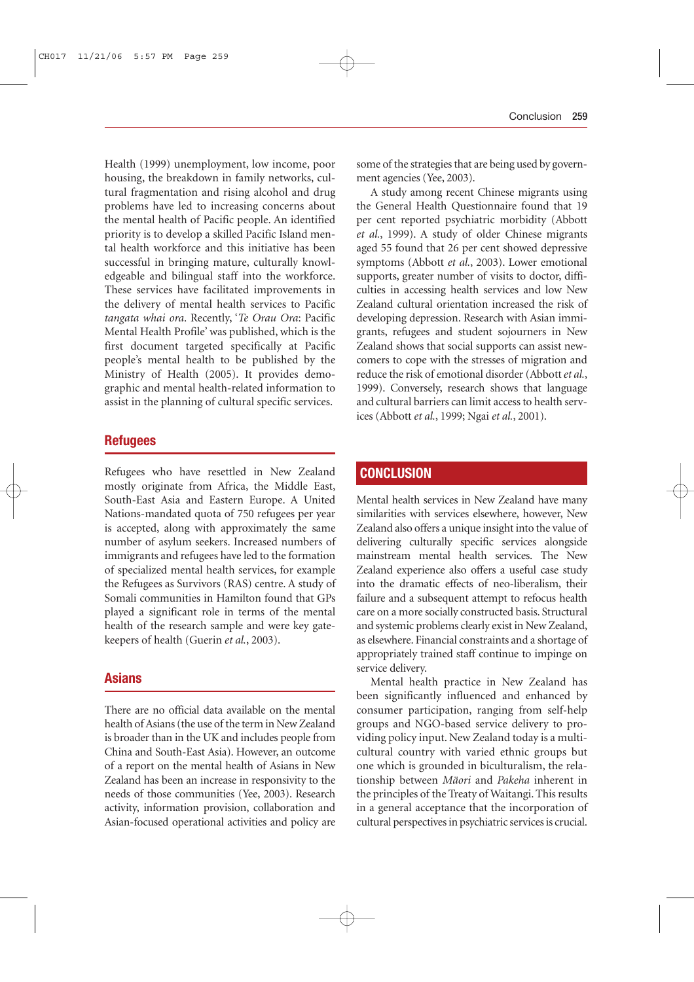Health (1999) unemployment, low income, poor housing, the breakdown in family networks, cultural fragmentation and rising alcohol and drug problems have led to increasing concerns about the mental health of Pacific people. An identified priority is to develop a skilled Pacific Island mental health workforce and this initiative has been successful in bringing mature, culturally knowledgeable and bilingual staff into the workforce. These services have facilitated improvements in the delivery of mental health services to Pacific *tangata whai ora*. Recently, '*Te Orau Ora*: Pacific Mental Health Profile' was published, which is the first document targeted specifically at Pacific people's mental health to be published by the Ministry of Health (2005). It provides demographic and mental health-related information to assist in the planning of cultural specific services.

#### **Refugees**

Refugees who have resettled in New Zealand mostly originate from Africa, the Middle East, South-East Asia and Eastern Europe. A United Nations-mandated quota of 750 refugees per year is accepted, along with approximately the same number of asylum seekers. Increased numbers of immigrants and refugees have led to the formation of specialized mental health services, for example the Refugees as Survivors (RAS) centre. A study of Somali communities in Hamilton found that GPs played a significant role in terms of the mental health of the research sample and were key gatekeepers of health (Guerin *et al.*, 2003).

#### **Asians**

There are no official data available on the mental health of Asians (the use of the term in New Zealand is broader than in the UK and includes people from China and South-East Asia). However, an outcome of a report on the mental health of Asians in New Zealand has been an increase in responsivity to the needs of those communities (Yee, 2003). Research activity, information provision, collaboration and Asian-focused operational activities and policy are some of the strategies that are being used by government agencies (Yee, 2003).

A study among recent Chinese migrants using the General Health Questionnaire found that 19 per cent reported psychiatric morbidity (Abbott *et al.*, 1999). A study of older Chinese migrants aged 55 found that 26 per cent showed depressive symptoms (Abbott *et al.*, 2003). Lower emotional supports, greater number of visits to doctor, difficulties in accessing health services and low New Zealand cultural orientation increased the risk of developing depression. Research with Asian immigrants, refugees and student sojourners in New Zealand shows that social supports can assist newcomers to cope with the stresses of migration and reduce the risk of emotional disorder (Abbott *et al.*, 1999). Conversely, research shows that language and cultural barriers can limit access to health services (Abbott *et al.*, 1999; Ngai *et al.*, 2001).

## **CONCLUSION**

Mental health services in New Zealand have many similarities with services elsewhere, however, New Zealand also offers a unique insight into the value of delivering culturally specific services alongside mainstream mental health services. The New Zealand experience also offers a useful case study into the dramatic effects of neo-liberalism, their failure and a subsequent attempt to refocus health care on a more socially constructed basis. Structural and systemic problems clearly exist in New Zealand, as elsewhere. Financial constraints and a shortage of appropriately trained staff continue to impinge on service delivery.

Mental health practice in New Zealand has been significantly influenced and enhanced by consumer participation, ranging from self-help groups and NGO-based service delivery to providing policy input. New Zealand today is a multicultural country with varied ethnic groups but one which is grounded in biculturalism, the relationship between *Mäori* and *Pakeha* inherent in the principles of the Treaty of Waitangi. This results in a general acceptance that the incorporation of cultural perspectives in psychiatric services is crucial.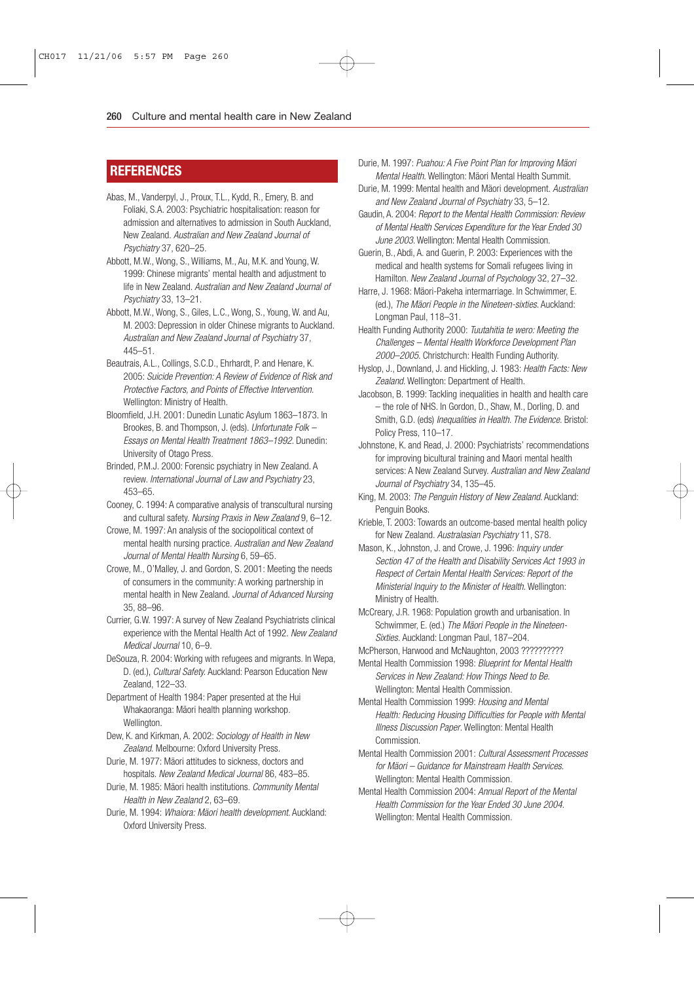#### 260 Culture and mental health care in New Zealand

# **REFERENCES**

- Abas, M., Vanderpyl, J., Proux, T.L., Kydd, R., Emery, B. and Foliaki, S.A. 2003: Psychiatric hospitalisation: reason for admission and alternatives to admission in South Auckland, New Zealand. Australian and New Zealand Journal of Psychiatry 37, 620–25.
- Abbott, M.W., Wong, S., Williams, M., Au, M.K. and Young, W. 1999: Chinese migrants' mental health and adjustment to life in New Zealand. Australian and New Zealand Journal of Psychiatry 33, 13–21.
- Abbott, M.W., Wong, S., Giles, L.C., Wong, S., Young, W. and Au, M. 2003: Depression in older Chinese migrants to Auckland. Australian and New Zealand Journal of Psychiatry 37, 445–51.
- Beautrais, A.L., Collings, S.C.D., Ehrhardt, P. and Henare, K. 2005: Suicide Prevention: A Review of Evidence of Risk and Protective Factors, and Points of Effective Intervention. Wellington: Ministry of Health.
- Bloomfield, J.H. 2001: Dunedin Lunatic Asylum 1863–1873. In Brookes, B. and Thompson, J. (eds). Unfortunate Folk – Essays on Mental Health Treatment 1863–1992. Dunedin: University of Otago Press.
- Brinded, P.M.J. 2000: Forensic psychiatry in New Zealand. A review. International Journal of Law and Psychiatry 23, 453–65.
- Cooney, C. 1994: A comparative analysis of transcultural nursing and cultural safety. Nursing Praxis in New Zealand 9, 6–12.
- Crowe, M. 1997: An analysis of the sociopolitical context of mental health nursing practice. Australian and New Zealand Journal of Mental Health Nursing 6, 59–65.
- Crowe, M., O'Malley, J. and Gordon, S. 2001: Meeting the needs of consumers in the community: A working partnership in mental health in New Zealand. Journal of Advanced Nursing 35, 88–96.
- Currier, G.W. 1997: A survey of New Zealand Psychiatrists clinical experience with the Mental Health Act of 1992. New Zealand Medical Journal 10, 6–9.
- DeSouza, R. 2004: Working with refugees and migrants. In Wepa, D. (ed.), Cultural Safety. Auckland: Pearson Education New Zealand, 122–33.

Department of Health 1984: Paper presented at the Hui Whakaoranga: Mäori health planning workshop. Wellington.

Dew, K. and Kirkman, A. 2002: Sociology of Health in New Zealand. Melbourne: Oxford University Press.

Durie, M. 1977: Mäori attitudes to sickness, doctors and hospitals. New Zealand Medical Journal 86, 483–85.

Durie, M. 1985: Mäori health institutions. Community Mental Health in New Zealand 2, 63–69.

Durie, M. 1994: Whaiora: Mäori health development. Auckland: Oxford University Press.

Durie, M. 1997: Puahou: A Five Point Plan for Improving Mäori Mental Health. Wellington: Mäori Mental Health Summit.

- Durie, M. 1999: Mental health and Mäori development. Australian and New Zealand Journal of Psychiatry 33, 5–12.
- Gaudin, A. 2004: Report to the Mental Health Commission: Review of Mental Health Services Expenditure for the Year Ended 30 June 2003. Wellington: Mental Health Commission.
- Guerin, B., Abdi, A. and Guerin, P. 2003: Experiences with the medical and health systems for Somali refugees living in Hamilton. New Zealand Journal of Psychology 32, 27–32.
- Harre, J. 1968: Mäori-Pakeha intermarriage. In Schwimmer, E. (ed.), The Mäori People in the Nineteen-sixties. Auckland: Longman Paul, 118–31.
- Health Funding Authority 2000: Tuutahitia te wero: Meeting the Challenges – Mental Health Workforce Development Plan 2000–2005. Christchurch: Health Funding Authority.
- Hyslop, J., Downland, J. and Hickling, J. 1983: Health Facts: New Zealand. Wellington: Department of Health.
- Jacobson, B. 1999: Tackling inequalities in health and health care – the role of NHS. In Gordon, D., Shaw, M., Dorling, D. and Smith, G.D. (eds) *Inequalities in Health. The Evidence*. Bristol: Policy Press, 110–17.
- Johnstone, K. and Read, J. 2000: Psychiatrists' recommendations for improving bicultural training and Maori mental health services: A New Zealand Survey. Australian and New Zealand Journal of Psychiatry 34, 135–45.
- King, M. 2003: The Penguin History of New Zealand. Auckland: Penguin Books.
- Krieble, T. 2003: Towards an outcome-based mental health policy for New Zealand. Australasian Psychiatry 11, S78.
- Mason, K., Johnston, J. and Crowe, J. 1996: Inquiry under Section 47 of the Health and Disability Services Act 1993 in Respect of Certain Mental Health Services: Report of the Ministerial Inquiry to the Minister of Health. Wellington: Ministry of Health.

McCreary, J.R. 1968: Population growth and urbanisation. In Schwimmer, E. (ed.) The Mäori People in the Nineteen-Sixties. Auckland: Longman Paul, 187–204.

McPherson, Harwood and McNaughton, 2003 ??????????

- Mental Health Commission 1998: Blueprint for Mental Health Services in New Zealand: How Things Need to Be. Wellington: Mental Health Commission.
- Mental Health Commission 1999: Housing and Mental Health: Reducing Housing Difficulties for People with Mental Illness Discussion Paper. Wellington: Mental Health **Commission**
- Mental Health Commission 2001: Cultural Assessment Processes for Mäori – Guidance for Mainstream Health Services. Wellington: Mental Health Commission.
- Mental Health Commission 2004: Annual Report of the Mental Health Commission for the Year Ended 30 June 2004. Wellington: Mental Health Commission.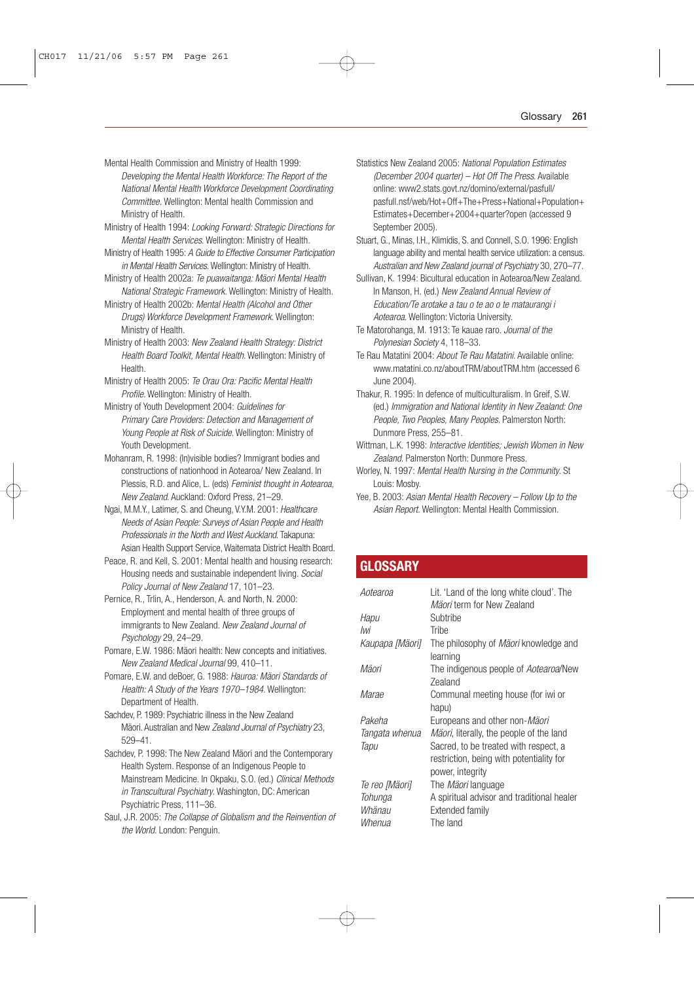#### Glossary 261

- Mental Health Commission and Ministry of Health 1999: Developing the Mental Health Workforce: The Report of the National Mental Health Workforce Development Coordinating Committee. Wellington: Mental health Commission and Ministry of Health.
- Ministry of Health 1994: Looking Forward: Strategic Directions for Mental Health Services. Wellington: Ministry of Health.
- Ministry of Health 1995: A Guide to Effective Consumer Participation in Mental Health Services. Wellington: Ministry of Health.
- Ministry of Health 2002a: Te puawaitanga: Mäori Mental Health National Strategic Framework. Wellington: Ministry of Health.
- Ministry of Health 2002b: Mental Health (Alcohol and Other Drugs) Workforce Development Framework. Wellington: Ministry of Health.
- Ministry of Health 2003: New Zealand Health Strategy: District Health Board Toolkit, Mental Health. Wellington: Ministry of Health.
- Ministry of Health 2005: Te Orau Ora: Pacific Mental Health Profile. Wellington: Ministry of Health.
- Ministry of Youth Development 2004: Guidelines for Primary Care Providers: Detection and Management of Young People at Risk of Suicide. Wellington: Ministry of Youth Development.
- Mohanram, R. 1998: (In)visible bodies? Immigrant bodies and constructions of nationhood in Aotearoa/ New Zealand. In Plessis, R.D. and Alice, L. (eds) Feminist thought in Aotearoa, New Zealand. Auckland: Oxford Press, 21–29.
- Ngai, M.M.Y., Latimer, S. and Cheung, V.Y.M. 2001: Healthcare Needs of Asian People: Surveys of Asian People and Health Professionals in the North and West Auckland. Takapuna: Asian Health Support Service, Waitemata District Health Board.
- Peace, R. and Kell, S. 2001: Mental health and housing research: Housing needs and sustainable independent living. Social Policy Journal of New Zealand 17, 101–23.
- Pernice, R., Trlin, A., Henderson, A. and North, N. 2000: Employment and mental health of three groups of immigrants to New Zealand. New Zealand Journal of Psychology 29, 24–29.
- Pomare, E.W. 1986: Mäori health: New concepts and initiatives. New Zealand Medical Journal 99, 410–11.
- Pomare, E.W. and deBoer, G. 1988: Hauroa: Mäori Standards of Health: A Study of the Years 1970-1984. Wellington: Department of Health.
- Sachdev, P. 1989: Psychiatric illness in the New Zealand Mäori. Australian and New Zealand Journal of Psychiatry 23, 529–41.
- Sachdev, P. 1998: The New Zealand Mäori and the Contemporary Health System. Response of an Indigenous People to Mainstream Medicine. In Okpaku, S.O. (ed.) Clinical Methods in Transcultural Psychiatry. Washington, DC: American Psychiatric Press, 111–36.
- Saul, J.R. 2005: The Collapse of Globalism and the Reinvention of the World. London: Penguin.
- Statistics New Zealand 2005: National Population Estimates (December 2004 quarter) – Hot Off The Press. Available online: www2.stats.govt.nz/domino/external/pasfull/ pasfull.nsf/web/Hot+Off+The+Press+National+Population+ Estimates+December+2004+quarter?open (accessed 9 September 2005).
- Stuart, G., Minas, I.H., Klimidis, S. and Connell, S.O. 1996: English language ability and mental health service utilization: a census. Australian and New Zealand journal of Psychiatry 30, 270–77.
- Sullivan, K. 1994: Bicultural education in Aotearoa/New Zealand. In Manson, H. (ed.) New Zealand Annual Review of Education/Te arotake a tau o te ao o te mataurangi i Aotearoa. Wellington: Victoria University.
- Te Matorohanga, M. 1913: Te kauae raro. Journal of the Polynesian Society 4, 118–33.
- Te Rau Matatini 2004: About Te Rau Matatini. Available online: www.matatini.co.nz/aboutTRM/aboutTRM.htm (accessed 6 June 2004).
- Thakur, R. 1995: In defence of multiculturalism. In Greif, S.W. (ed.) Immigration and National Identity in New Zealand: One People, Two Peoples, Many Peoples. Palmerston North: Dunmore Press, 255–81.
- Wittman, L.K. 1998: Interactive Identities; Jewish Women in New Zealand. Palmerston North: Dunmore Press.
- Worley, N. 1997: Mental Health Nursing in the Community. St Louis: Mosby.
- Yee, B. 2003: Asian Mental Health Recovery Follow Up to the Asian Report. Wellington: Mental Health Commission.

#### **GLOSSARY**

| Aotearoa        | Lit. 'Land of the long white cloud'. The<br><i>Mäori</i> term for New Zealand                         |
|-----------------|-------------------------------------------------------------------------------------------------------|
| Hapu            | Subtribe                                                                                              |
| lwi             | <b>Tribe</b>                                                                                          |
| Kaupapa [Mäori] | The philosophy of <i>Mäori</i> knowledge and<br>learning                                              |
| Mäori           | The indigenous people of <i>Aotearoa</i> /New<br><b>Zealand</b>                                       |
| Marae           | Communal meeting house (for iwi or<br>hapu)                                                           |
| Pakeha          | Europeans and other non- <i>Mäori</i>                                                                 |
| Tangata whenua  | <i>Mäori</i> , literally, the people of the land                                                      |
| Tapu            | Sacred, to be treated with respect, a<br>restriction, being with potentiality for<br>power, integrity |
| Te reo [Mäori]  | The <i>Mäori</i> language                                                                             |
| Tohunga         | A spiritual advisor and traditional healer                                                            |
| Whänau          | Extended family                                                                                       |
| Whenua          | The land                                                                                              |